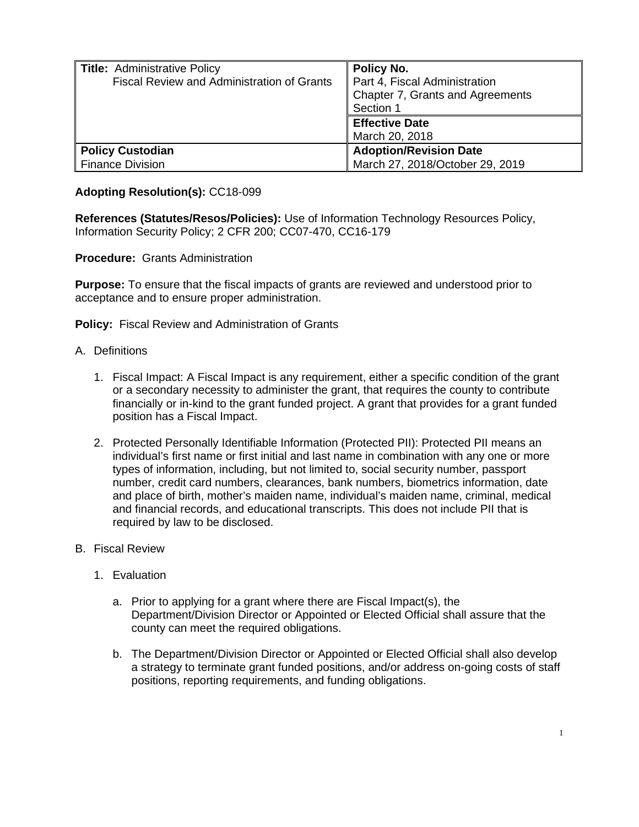| Title: Administrative Policy               | Policy No.                       |
|--------------------------------------------|----------------------------------|
| Fiscal Review and Administration of Grants | Part 4, Fiscal Administration    |
|                                            | Chapter 7, Grants and Agreements |
|                                            | Section 1                        |
|                                            | <b>Effective Date</b>            |
|                                            | March 20, 2018                   |
| <b>Policy Custodian</b>                    | <b>Adoption/Revision Date</b>    |
| <b>Finance Division</b>                    | March 27, 2018/October 29, 2019  |

## **Adopting Resolution(s):** CC18-099

**References (Statutes/Resos/Policies):** Use of Information Technology Resources Policy, Information Security Policy; 2 CFR 200; CC07-470, CC16-179

**Procedure:** Grants Administration

**Purpose:** To ensure that the fiscal impacts of grants are reviewed and understood prior to acceptance and to ensure proper administration.

**Policy:** Fiscal Review and Administration of Grants

## A. Definitions

- 1. Fiscal Impact: A Fiscal Impact is any requirement, either a specific condition of the grant or a secondary necessity to administer the grant, that requires the county to contribute financially or in-kind to the grant funded project. A grant that provides for a grant funded position has a Fiscal Impact.
- 2. Protected Personally Identifiable Information (Protected PII): Protected PII means an individual's first name or first initial and last name in combination with any one or more types of information, including, but not limited to, social security number, passport number, credit card numbers, clearances, bank numbers, biometrics information, date and place of birth, mother's maiden name, individual's maiden name, criminal, medical and financial records, and educational transcripts. This does not include PII that is required by law to be disclosed.
- B. Fiscal Review
	- 1. Evaluation
		- a. Prior to applying for a grant where there are Fiscal Impact(s), the Department/Division Director or Appointed or Elected Official shall assure that the county can meet the required obligations.
		- b. The Department/Division Director or Appointed or Elected Official shall also develop a strategy to terminate grant funded positions, and/or address on-going costs of staff positions, reporting requirements, and funding obligations.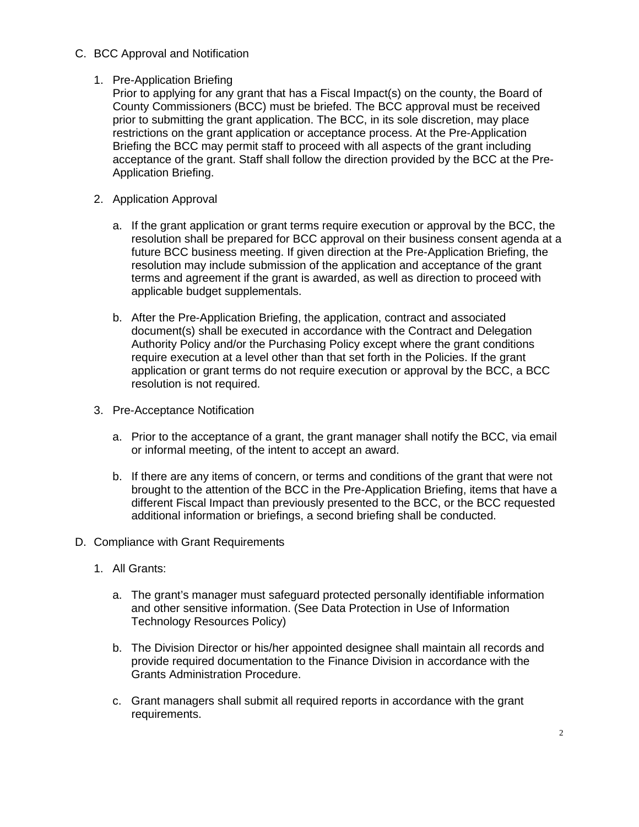C. BCC Approval and Notification

## 1. Pre-Application Briefing

Prior to applying for any grant that has a Fiscal Impact(s) on the county, the Board of County Commissioners (BCC) must be briefed. The BCC approval must be received prior to submitting the grant application. The BCC, in its sole discretion, may place restrictions on the grant application or acceptance process. At the Pre-Application Briefing the BCC may permit staff to proceed with all aspects of the grant including acceptance of the grant. Staff shall follow the direction provided by the BCC at the Pre-Application Briefing.

- 2. Application Approval
	- a. If the grant application or grant terms require execution or approval by the BCC, the resolution shall be prepared for BCC approval on their business consent agenda at a future BCC business meeting. If given direction at the Pre-Application Briefing, the resolution may include submission of the application and acceptance of the grant terms and agreement if the grant is awarded, as well as direction to proceed with applicable budget supplementals.
	- b. After the Pre-Application Briefing, the application, contract and associated document(s) shall be executed in accordance with the Contract and Delegation Authority Policy and/or the Purchasing Policy except where the grant conditions require execution at a level other than that set forth in the Policies. If the grant application or grant terms do not require execution or approval by the BCC, a BCC resolution is not required.
- 3. Pre-Acceptance Notification
	- a. Prior to the acceptance of a grant, the grant manager shall notify the BCC, via email or informal meeting, of the intent to accept an award.
	- b. If there are any items of concern, or terms and conditions of the grant that were not brought to the attention of the BCC in the Pre-Application Briefing, items that have a different Fiscal Impact than previously presented to the BCC, or the BCC requested additional information or briefings, a second briefing shall be conducted.
- D. Compliance with Grant Requirements
	- 1. All Grants:
		- a. The grant's manager must safeguard protected personally identifiable information and other sensitive information. (See Data Protection in Use of Information Technology Resources Policy)
		- b. The Division Director or his/her appointed designee shall maintain all records and provide required documentation to the Finance Division in accordance with the Grants Administration Procedure.
		- c. Grant managers shall submit all required reports in accordance with the grant requirements.